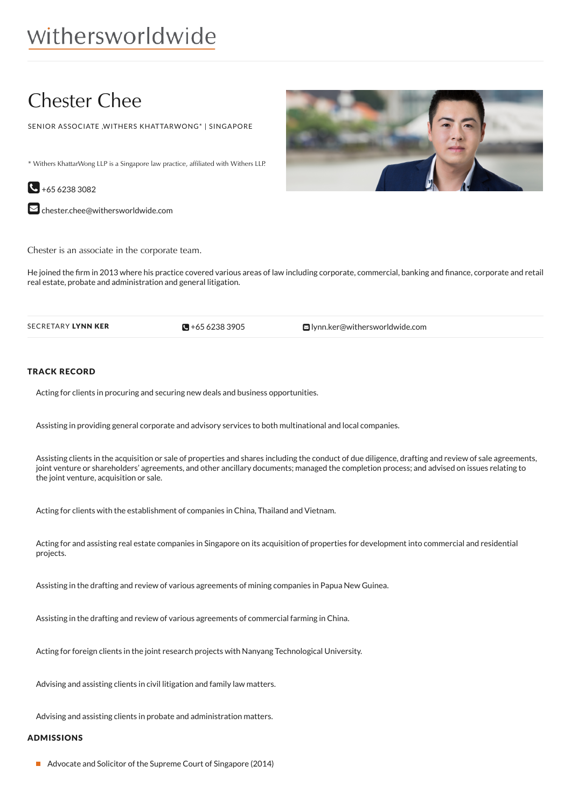## Chester Chee

SENIOR ASSOCIATE ,WITHERS KHATTARWONG\* | SINGAPORE

\* Withers KhattarWong LLP is a Singapore law practice, affiliated with Withers LLP.

 $\bigodot$  +65 6238 3082

 $\blacktriangleright$  [chester.chee@withersworldwide.com](mailto:chester.chee@withersworldwide.com?subject=Website Enquiry - Profile Page)

Chester is an associate in the corporate team.

He joined the firm in 2013 where his practice covered various areas of law including corporate, commercial, banking and finance, corporate and retail real estate, probate and administration and general litigation.

 $\blacksquare$  +65 6238 3905

SECRETARY LYNN KER **CHARGES AND CONSTRUCTED AS A CONSTRUCTED A** HOST CONSTRUCTED **CONSTRUCTED CONSTRUCTED A** LYNN KER

## TRACK RECORD

Acting for clients in procuring and securing new deals and business opportunities.

Assisting in providing general corporate and advisory services to both multinational and local companies.

Assisting clients in the acquisition or sale of properties and shares including the conduct of due diligence, drafting and review of sale agreements, joint venture or shareholders' agreements, and other ancillary documents; managed the completion process; and advised on issues relating to the joint venture, acquisition or sale.

Acting for clients with the establishment of companies in China, Thailand and Vietnam.

Acting for and assisting real estate companies in Singapore on its acquisition of properties for development into commercial and residential projects.

Assisting in the drafting and review of various agreements of mining companies in Papua New Guinea.

Assisting in the drafting and review of various agreements of commercial farming in China.

Acting for foreign clients in the joint research projects with Nanyang Technological University.

Advising and assisting clients in civil litigation and family law matters.

Advising and assisting clients in probate and administration matters.

## ADMISSIONS

Advocate and Solicitor of the Supreme Court of Singapore (2014)